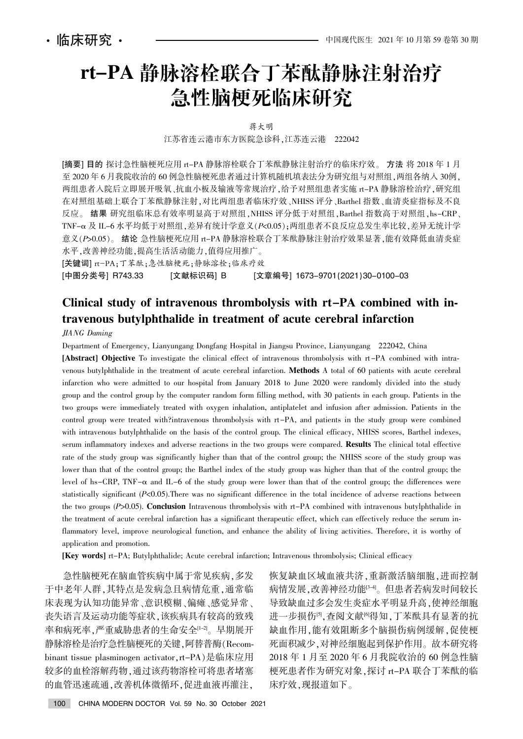# rt-PA 静脉溶栓联合丁苯酞静脉注射治疗 急性脑梗死临床研究

蒋大明

江苏省连云港市东方医院急诊科,江苏连云港 222042

[摘要] 目的 探讨急性脑梗死应用 rt-PA 静脉溶栓联合丁苯酞静脉注射治疗的临床疗效。 方法 将 2018 年 1 月 至 2020年6月我院收治的60例急性脑梗死患者通过计算机随机填表法分为研究组与对照组,两组各纳入 30例, 两组患者入院后立即展开吸氧、抗血小板及输液等常规治疗,给予对照组患者实施 rt-PA 静脉溶栓治疗,研究组 在对照组基础上联合丁苯酞静脉注射,对比两组患者临床疗效、NHISS 评分、Barthel 指数、血清炎症指标及不良 反应。结果 研究组临床总有效率明显高于对照组, NHISS 评分低于对照组, Barthel 指数高于对照组, hs-CRP、 TNF-α及 IL-6 水平均低于对照组, 差异有统计学意义(P<0.05); 两组患者不良反应总发生率比较, 差异无统计学 意义(P>0.05)。 结论 急性脑梗死应用 rt-PA 静脉溶栓联合丁苯酞静脉注射治疗效果显著,能有效降低血清炎症 水平,改善神经功能,提高生活活动能力,值得应用推广。

[关键词] rt-PA:丁苯酞;急性脑梗死;静脉溶栓;临床疗效

[中图分类号] R743.33 [文献标识码] B [文章编号] 1673-9701(2021)30-0100-03

# Clinical study of intravenous thrombolysis with rt-PA combined with intravenous butylphthalide in treatment of acute cerebral infarction

JIANG Daming

Department of Emergency, Lianyungang Dongfang Hospital in Jiangsu Province, Lianyungang 222042, China

[Abstract] Objective To investigate the clinical effect of intravenous thrombolysis with rt-PA combined with intravenous butylphthalide in the treatment of acute cerebral infarction. Methods A total of 60 patients with acute cerebral infarction who were admitted to our hospital from January 2018 to June 2020 were randomly divided into the study group and the control group by the computer random form filling method, with 30 patients in each group. Patients in the two groups were immediately treated with oxygen inhalation, antiplatelet and infusion after admission. Patients in the control group were treated with?intravenous thrombolysis with rt-PA, and patients in the study group were combined with intravenous butylphthalide on the basis of the control group. The clinical efficacy, NHISS scores, Barthel indexes, serum inflammatory indexes and adverse reactions in the two groups were compared. Results The clinical total effective rate of the study group was significantly higher than that of the control group; the NHISS score of the study group was lower than that of the control group; the Barthel index of the study group was higher than that of the control group; the level of hs-CRP, TNF- $\alpha$  and IL-6 of the study group were lower than that of the control group; the differences were statistically significant (P<0.05).There was no significant difference in the total incidence of adverse reactions between the two groups  $(P>0.05)$ . Conclusion Intravenous thrombolysis with rt-PA combined with intravenous butylphthalide in the treatment of acute cerebral infarction has a significant therapeutic effect, which can effectively reduce the serum inflammatory level, improve neurological function, and enhance the ability of living activities. Therefore, it is worthy of application and promotion.

[Key words] rt-PA; Butylphthalide; Acute cerebral infarction; Intravenous thrombolysis; Clinical efficacy

急性脑梗死在脑血管疾病中属于常见疾病,多发 于中老年人群,其特点是发病急且病情危重,通常临 床表现为认知功能异常、意识模糊、偏瘫、感觉异常、 丧失语言及运动功能等症状,该疾病具有较高的致残 率和病死率,严重威胁患者的生命安全[1-2]。 早期展开 静脉溶栓是治疗急性脑梗死的关键,阿替普酶(Recombinant tissue plasminogen activator rt-PA)是临床应用 较多的血栓溶解药物,通过该药物溶栓可将患者堵塞 的血管迅速疏通,改善机体微循环,促进血液再灌注,

恢复缺血区域血液共济,重新激活脑细胞,进而控制 病情发展,改善神经功能<sup>[3-4]</sup>。但患者若病发时间较长 导致缺血过多会发生炎症水平明显升高,使神经细胞 进一步损伤<sup>[5]</sup>,查阅文献<sup>[6]</sup>得知,丁苯酞具有显著的抗 缺血作用,能有效阻断多个脑损伤病例缓解,促使梗 死面积减少,对神经细胞起到保护作用。故本研究将 2018 年 1 月至 2020 年 6 月我院收治的 60 例急性脑 梗死患者作为研究对象, 探讨 rt-PA 联合丁苯酞的临 床疗效,现报道如下。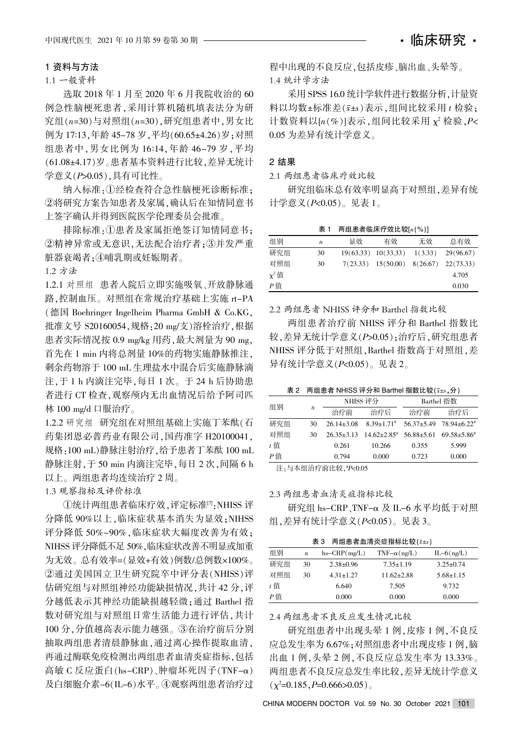## 1 资料与方法

### 1.1 一般资料

选取 2018 年 1 月至 2020 年 6 月我院收治的 60 例急性脑梗死患者,采用计算机随机填表法分为研 究组 $(n=30)$ 与对照组 $(n=30)$ , 研究组患者中, 男女比 例为 17:13.年龄 45~78 岁.平均(60.65±4.26)岁:对照 组患者中,男女比例为 16:14,年龄 46~79 岁,平均 (61.08±4.17)岁。患者基本资料进行比较,差异无统计 学意义 $(PS0.05)$ ,具有可比性。

纳入标准:1)经检查符合急性脑梗死诊断标准: ②将研究方案告知患者及家属,确认后在知情同意书 上签字确认并得到医院医学伦理委员会批准。

排除标准:①患者及家属拒绝签订知情同意书: ②精神异常或无意识,无法配合治疗者:3并发严重 脏器衰竭者:4哺乳期或妊娠期者。

1.2 方法

1.2.1 对照组 患者入院后立即实施吸氧、开放静脉通 路,控制血压。对照组在常规治疗基础上实施 rt-PA  $($ 德国 Boehringer Ingelheim Pharma GmbH & Co.KG, 批准文号 S20160054,规格:20 mg/支)溶栓治疗,根据 患者实际情况按 0.9 mg/kg 用药,最大剂量为 90 mg, 首先在 1 min 内将总剂量 10%的药物实施静脉推注, 剩余药物溶于 100 mL 生理盐水中混合后实施静脉滴 注,于 1 h 内滴注完毕,每日 1 次。于 24 h 后协助患 者进行 CT 检查, 观察颅内无出血情况后给予阿司匹 林 100 mg/d 口服治疗。

1.2.2 研究组 研究组在对照组基础上实施丁苯酞(石 药集团恩必普药业有限公司,国药准字 H20100041, 规格:100 mL)静脉注射治疗,给予患者丁苯酞 100 mL 静脉注射,于50 min 内滴注完毕,每日 2 次,间隔 6 h 以上。两组患者均连续治疗 2 周。

1.3 观察指标及评价标准

①统计两组患者临床疗效,评定标准[7],NHISS 评 分降低 90%以上,临床症状基本消失为显效; NIHSS 评分降低 50%~90%, 临床症状大幅度改善为有效; NIHSS 评分降低不足 50%, 临床症状改善不明显或加重 为无效。总有效率=(显效+有效)例数/总例数×100%。 ②通过美国国立卫生研究院卒中评分表(NHISS)评 估研究组与对照组神经功能缺损情况,共计 42 分,评 分越低表示其神经功能缺损越轻微;通过 Barthel 指 数对研究组与对照组日常生活能力进行评估,共计 100分,分值越高表示能力越强。③在治疗前后分别 抽取两组患者清晨静脉血,通过离心操作提取血清, 再通过酶联免疫检测出两组患者血清炎症指标,包括 高敏 C 反应蛋白(hs-CRP)、肿瘤坏死因子(TNF-α) 及白细胞介素-6(IL-6)水平。④观察两组患者治疗过

程中出现的不良反应,包括皮疹、脑出血、头晕等。 1.4 统计学方法

采用 SPSS 16.0 统计学软件进行数据分析, 计量资 料以均数±标准差 $(x \pm s)$ 表示,组间比较采用  $t$  检验: 计数资料以 $[n(\%)]$ 表示,组间比较采用  $\chi^2$  检验,  $P$ <  $0.05$  为差异有统计学意义。

#### 2 结果

2.1 两组患者临床疗效比较

研究组临床总有效率明显高于对照组,差异有统 计学意义 $(P< 0.05)$ 。见表 1。

表 1 两组患者临床疗效比较 $[n(%)]$ 

| 组别         | n  | 显效 | 有效                                            | 无效 | 总有效       |
|------------|----|----|-----------------------------------------------|----|-----------|
| 研究组        | 30 |    | $19(63.33)$ $10(33.33)$ $1(3.33)$             |    | 29(96.67) |
| 对照组        | 30 |    | $7(23.33)$ $15(50.00)$ $8(26.67)$ $22(73.33)$ |    |           |
| $\chi^2$ 值 |    |    |                                               |    | 4.705     |
| $P$ 值      |    |    |                                               |    | 0.030     |

2.2 两组患者 NHISS 评分和 Barthel 指数比较

两组患者治疗前 NHISS 评分和 Barthel 指数比 较,差异无统计学意义(P>0.05);治疗后,研究组患者 NHISS 评分低于对照组, Barthel 指数高于对照组, 差 异有统计学意义 $(P< 0.05)$ 。见表 2。

表 2 两组患者 NHISS 评分和 Barthel 指数比较 $(x \pm s, \Delta)$ 

| 组别                                                                                                                                                                                                                                                                                                                                                                                                                        |                  | NHISS 评分         |                             | Barthel 指数     |                                                |  |
|---------------------------------------------------------------------------------------------------------------------------------------------------------------------------------------------------------------------------------------------------------------------------------------------------------------------------------------------------------------------------------------------------------------------------|------------------|------------------|-----------------------------|----------------|------------------------------------------------|--|
|                                                                                                                                                                                                                                                                                                                                                                                                                           | $\boldsymbol{n}$ | 治疗前              | 治疗后                         | 治疗前            | 治疗后                                            |  |
| 研究组                                                                                                                                                                                                                                                                                                                                                                                                                       | 30               | $26.14 \pm 3.08$ | $8.39 \pm 1.71$ #           |                | $56.37 \pm 5.49$ $78.94 \pm 6.22$ <sup>#</sup> |  |
| 对照组                                                                                                                                                                                                                                                                                                                                                                                                                       | 30               | $26.35 + 3.13$   | $14.62 + 2.85$ <sup>#</sup> | $56.88 + 5.61$ | $69.58 \pm 5.86$ <sup>*</sup>                  |  |
| $t$ 值                                                                                                                                                                                                                                                                                                                                                                                                                     |                  | 0.261            | 10.266                      | 0.355          | 5.999                                          |  |
| P值                                                                                                                                                                                                                                                                                                                                                                                                                        |                  | 0.794            | 0.000                       | 0.723          | 0.000                                          |  |
| $\mathcal{L}(\mathbf{X}) = \mathbf{1} \mathbf{1} + \mathbf{1} \mathbf{1} + \mathbf{1} \mathbf{1} + \mathbf{1} \mathbf{1} + \mathbf{1} \mathbf{1} + \mathbf{1} \mathbf{1} + \mathbf{1} \mathbf{1} + \mathbf{1} \mathbf{1} + \mathbf{1} \mathbf{1} + \mathbf{1} \mathbf{1} + \mathbf{1} \mathbf{1} + \mathbf{1} \mathbf{1} + \mathbf{1} \mathbf{1} + \mathbf{1} \mathbf{1} + \mathbf{1} \mathbf{1} + \mathbf{1} \mathbf{1}$ |                  |                  |                             |                |                                                |  |

注<sub>:</sub>与本组治疗前比较<sub>,</sub>"P<0.05

#### 2.3 两组患者血清炎症指标比较

研究组 hs-CRP、TNF-α 及 IL-6 水平均低于对照 组, 差异有统计学意义 $(P<sub>0.05</sub>)$ 。见表 3。

表 3 两组患者血清炎症指标比较 $(x \pm s)$ 

| 组别    | $\boldsymbol{n}$ | $hs-CRP(mg/L)$  | $TNF-\alpha(ng/L)$ | $IL-6(ng/L)$    |
|-------|------------------|-----------------|--------------------|-----------------|
| 研究组   | 30               | $2.38 \pm 0.96$ | $7.35 \pm 1.19$    | $3.25 \pm 0.74$ |
| 对照组   | 30               | $4.31 \pm 1.27$ | $11.62 \pm 2.88$   | $5.68 \pm 1.15$ |
| $t$ 值 |                  | 6.640           | 7.505              | 9.732           |
| P值    |                  | 0.000           | 0.000              | 0.000           |

#### 2.4 两组患者不良反应发生情况比较

研究组患者中出现头晕 1 例, 皮疹 1 例, 不良反 应总发生率为 6.67%;对照组患者中出现皮疹 1 例,脑 出血 1 例, 头晕 2 例, 不良反应总发生率为 13.33%。 两组患者不良反应总发生率比较,差异无统计学意义  $(\chi^2=0.185, P=0.666>0.05)$ 

CHINA MODERN DOCTOR Vol. 59 No. 30 October 2021 101